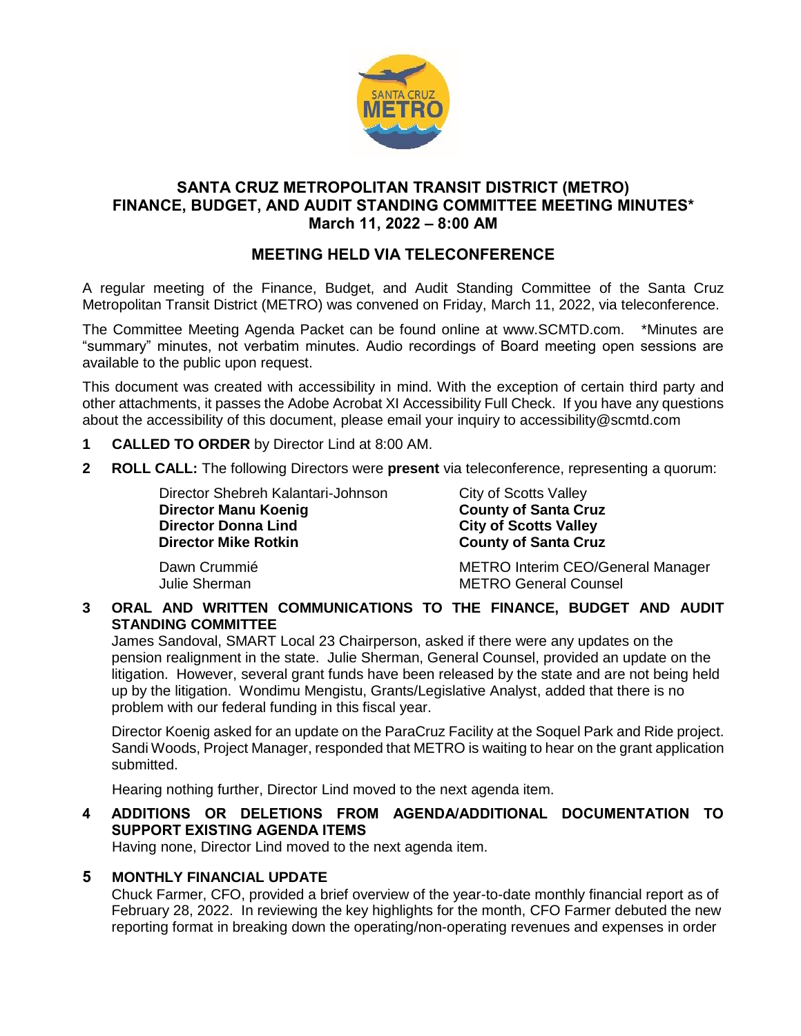

## **SANTA CRUZ METROPOLITAN TRANSIT DISTRICT (METRO) FINANCE, BUDGET, AND AUDIT STANDING COMMITTEE MEETING MINUTES\* March 11, 2022 – 8:00 AM**

# **MEETING HELD VIA TELECONFERENCE**

A regular meeting of the Finance, Budget, and Audit Standing Committee of the Santa Cruz Metropolitan Transit District (METRO) was convened on Friday, March 11, 2022, via teleconference.

The Committee Meeting Agenda Packet can be found online at www.SCMTD.com. \*Minutes are "summary" minutes, not verbatim minutes. Audio recordings of Board meeting open sessions are available to the public upon request.

This document was created with accessibility in mind. With the exception of certain third party and other attachments, it passes the Adobe Acrobat XI Accessibility Full Check. If you have any questions about the accessibility of this document, please email your inquiry to accessibility@scmtd.com

- **1 CALLED TO ORDER** by Director Lind at 8:00 AM.
- **2 ROLL CALL:** The following Directors were **present** via teleconference, representing a quorum:

Director Shebreh Kalantari-Johnson City of Scotts Valley **Director Manu Koenig County of Santa Cruz Director Mike Rotkin County of Santa Cruz** 

**City of Scotts Valley** 

Dawn Crummié **METRO Interim CEO/General Manager** Julie Sherman METRO General Counsel

**3 ORAL AND WRITTEN COMMUNICATIONS TO THE FINANCE, BUDGET AND AUDIT STANDING COMMITTEE**

James Sandoval, SMART Local 23 Chairperson, asked if there were any updates on the pension realignment in the state. Julie Sherman, General Counsel, provided an update on the litigation. However, several grant funds have been released by the state and are not being held up by the litigation. Wondimu Mengistu, Grants/Legislative Analyst, added that there is no problem with our federal funding in this fiscal year.

Director Koenig asked for an update on the ParaCruz Facility at the Soquel Park and Ride project. Sandi Woods, Project Manager, responded that METRO is waiting to hear on the grant application submitted.

Hearing nothing further, Director Lind moved to the next agenda item.

**4 ADDITIONS OR DELETIONS FROM AGENDA/ADDITIONAL DOCUMENTATION TO SUPPORT EXISTING AGENDA ITEMS** 

Having none, Director Lind moved to the next agenda item.

## **5 MONTHLY FINANCIAL UPDATE**

Chuck Farmer, CFO, provided a brief overview of the year-to-date monthly financial report as of February 28, 2022. In reviewing the key highlights for the month, CFO Farmer debuted the new reporting format in breaking down the operating/non-operating revenues and expenses in order